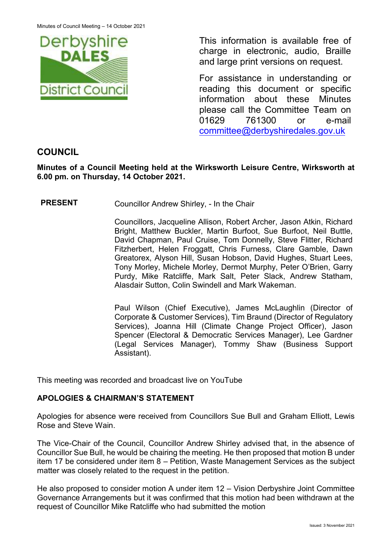

This information is available free of charge in electronic, audio, Braille and large print versions on request.

For assistance in understanding or reading this document or specific information about these Minutes please call the Committee Team on 01629 761300 or e-mail [committee@derbyshiredales.gov.uk](mailto:brian.evans@derbyshiredales.gov.uk) 

# **COUNCIL**

**Minutes of a Council Meeting held at the Wirksworth Leisure Centre, Wirksworth at 6.00 pm. on Thursday, 14 October 2021.**

**PRESENT** Councillor Andrew Shirley, - In the Chair

Councillors, Jacqueline Allison, Robert Archer, Jason Atkin, Richard Bright, Matthew Buckler, Martin Burfoot, Sue Burfoot, Neil Buttle, David Chapman, Paul Cruise, Tom Donnelly, Steve Flitter, Richard Fitzherbert, Helen Froggatt, Chris Furness, Clare Gamble, Dawn Greatorex, Alyson Hill, Susan Hobson, David Hughes, Stuart Lees, Tony Morley, Michele Morley, Dermot Murphy, Peter O'Brien, Garry Purdy, Mike Ratcliffe, Mark Salt, Peter Slack, Andrew Statham, Alasdair Sutton, Colin Swindell and Mark Wakeman.

Paul Wilson (Chief Executive), James McLaughlin (Director of Corporate & Customer Services), Tim Braund (Director of Regulatory Services), Joanna Hill (Climate Change Project Officer), Jason Spencer (Electoral & Democratic Services Manager), Lee Gardner (Legal Services Manager), Tommy Shaw (Business Support Assistant).

This meeting was recorded and broadcast live on YouTube

# **APOLOGIES & CHAIRMAN'S STATEMENT**

Apologies for absence were received from Councillors Sue Bull and Graham Elliott, Lewis Rose and Steve Wain.

The Vice-Chair of the Council, Councillor Andrew Shirley advised that, in the absence of Councillor Sue Bull, he would be chairing the meeting. He then proposed that motion B under item 17 be considered under item 8 – Petition, Waste Management Services as the subject matter was closely related to the request in the petition.

He also proposed to consider motion A under item 12 – Vision Derbyshire Joint Committee Governance Arrangements but it was confirmed that this motion had been withdrawn at the request of Councillor Mike Ratcliffe who had submitted the motion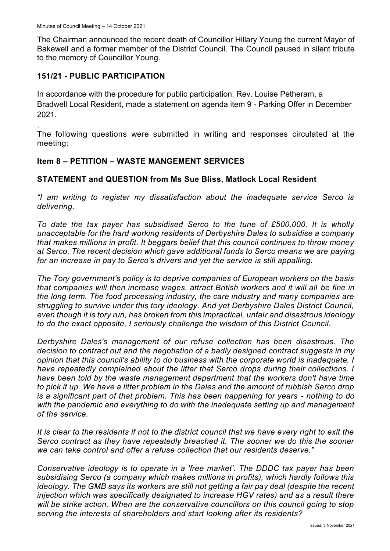The Chairman announced the recent death of Councillor Hillary Young the current Mayor of Bakewell and a former member of the District Council. The Council paused in silent tribute to the memory of Councillor Young.

# **151/21 - PUBLIC PARTICIPATION**

In accordance with the procedure for public participation, Rev. Louise Petheram, a Bradwell Local Resident, made a statement on agenda item 9 - Parking Offer in December 2021.

. The following questions were submitted in writing and responses circulated at the meeting:

# **Item 8 – PETITION – WASTE MANGEMENT SERVICES**

# **STATEMENT and QUESTION from Ms Sue Bliss, Matlock Local Resident**

*"I am writing to register my dissatisfaction about the inadequate service Serco is delivering.*

*To date the tax payer has subsidised Serco to the tune of £500,000. It is wholly unacceptable for the hard working residents of Derbyshire Dales to subsidise a company that makes millions in profit. It beggars belief that this council continues to throw money at Serco. The recent decision which gave additional funds to Serco means we are paying for an increase in pay to Serco's drivers and yet the service is still appalling.*

*The Tory government's policy is to deprive companies of European workers on the basis that companies will then increase wages, attract British workers and it will all be fine in the long term. The food processing industry, the care industry and many companies are struggling to survive under this tory ideology. And yet Derbyshire Dales District Council, even though it is tory run, has broken from this impractical, unfair and disastrous ideology to do the exact opposite. I seriously challenge the wisdom of this District Council.*

*Derbyshire Dales's management of our refuse collection has been disastrous. The decision to contract out and the negotiation of a badly designed contract suggests in my opinion that this council's ability to do business with the corporate world is inadequate. I have repeatedly complained about the litter that Serco drops during their collections. I have been told by the waste management department that the workers don't have time to pick it up. We have a litter problem in the Dales and the amount of rubbish Serco drop is a significant part of that problem. This has been happening for years - nothing to do with the pandemic and everything to do with the inadequate setting up and management of the service.*

*It is clear to the residents if not to the district council that we have every right to exit the Serco contract as they have repeatedly breached it. The sooner we do this the sooner we can take control and offer a refuse collection that our residents deserve."*

*Conservative ideology is to operate in a 'free market'. The DDDC tax payer has been subsidising Serco (a company which makes millions in profits), which hardly follows this ideology. The GMB says its workers are still not getting a fair pay deal (despite the recent injection which was specifically designated to increase HGV rates) and as a result there*  will be strike action. When are the conservative councillors on this council going to stop *serving the interests of shareholders and start looking after its residents?*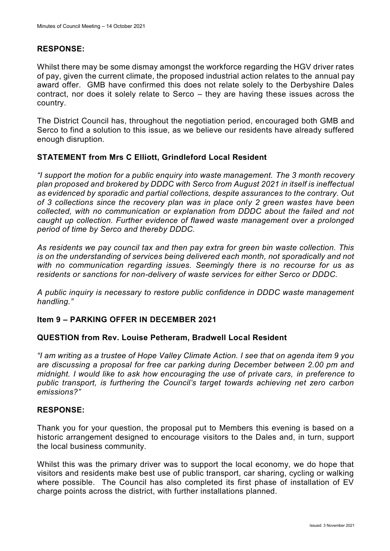# **RESPONSE:**

Whilst there may be some dismay amongst the workforce regarding the HGV driver rates of pay, given the current climate, the proposed industrial action relates to the annual pay award offer. GMB have confirmed this does not relate solely to the Derbyshire Dales contract, nor does it solely relate to Serco – they are having these issues across the country.

The District Council has, throughout the negotiation period, encouraged both GMB and Serco to find a solution to this issue, as we believe our residents have already suffered enough disruption.

### **STATEMENT from Mrs C Elliott, Grindleford Local Resident**

*"I support the motion for a public enquiry into waste management. The 3 month recovery plan proposed and brokered by DDDC with Serco from August 2021 in itself is ineffectual as evidenced by sporadic and partial collections, despite assurances to the contrary. Out of 3 collections since the recovery plan was in place only 2 green wastes have been collected, with no communication or explanation from DDDC about the failed and not caught up collection. Further evidence of flawed waste management over a prolonged period of time by Serco and thereby DDDC.* 

*As residents we pay council tax and then pay extra for green bin waste collection. This is on the understanding of services being delivered each month, not sporadically and not with no communication regarding issues. Seemingly there is no recourse for us as residents or sanctions for non-delivery of waste services for either Serco or DDDC.*

*A public inquiry is necessary to restore public confidence in DDDC waste management handling."*

### **Item 9 – PARKING OFFER IN DECEMBER 2021**

#### **QUESTION from Rev. Louise Petheram, Bradwell Local Resident**

*"I am writing as a trustee of Hope Valley Climate Action. I see that on agenda item 9 you are discussing a proposal for free car parking during December between 2.00 pm and midnight. I would like to ask how encouraging the use of private cars, in preference to public transport, is furthering the Council's target towards achieving net zero carbon emissions?"*

#### **RESPONSE:**

Thank you for your question, the proposal put to Members this evening is based on a historic arrangement designed to encourage visitors to the Dales and, in turn, support the local business community.

Whilst this was the primary driver was to support the local economy, we do hope that visitors and residents make best use of public transport, car sharing, cycling or walking where possible. The Council has also completed its first phase of installation of EV charge points across the district, with further installations planned.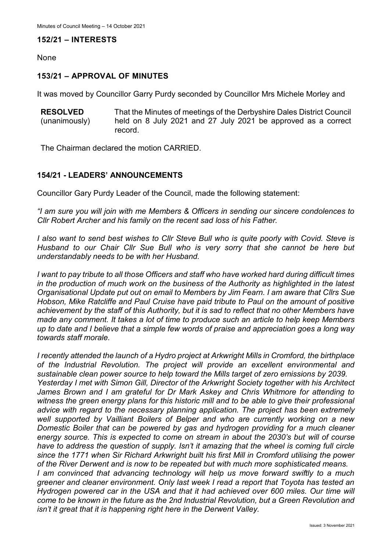### **152/21 – INTERESTS**

None

# **153/21 – APPROVAL OF MINUTES**

It was moved by Councillor Garry Purdy seconded by Councillor Mrs Michele Morley and

**RESOLVED** (unanimously) That the Minutes of meetings of the Derbyshire Dales District Council held on 8 July 2021 and 27 July 2021 be approved as a correct record.

The Chairman declared the motion CARRIED.

# **154/21 - LEADERS' ANNOUNCEMENTS**

Councillor Gary Purdy Leader of the Council, made the following statement:

*"I am sure you will join with me Members & Officers in sending our sincere condolences to Cllr Robert Archer and his family on the recent sad loss of his Father.*

*I also want to send best wishes to Cllr Steve Bull who is quite poorly with Covid. Steve is Husband to our Chair Cllr Sue Bull who is very sorry that she cannot be here but understandably needs to be with her Husband.*

*I want to pay tribute to all those Officers and staff who have worked hard during difficult times in the production of much work on the business of the Authority as highlighted in the latest Organisational Update put out on email to Members by Jim Fearn. I am aware that Cllrs Sue Hobson, Mike Ratcliffe and Paul Cruise have paid tribute to Paul on the amount of positive achievement by the staff of this Authority, but it is sad to reflect that no other Members have made any comment. It takes a lot of time to produce such an article to help keep Members up to date and I believe that a simple few words of praise and appreciation goes a long way towards staff morale.*

*I recently attended the launch of a Hydro project at Arkwright Mills in Cromford, the birthplace of the Industrial Revolution. The project will provide an excellent environmental and sustainable clean power source to help toward the Mills target of zero emissions by 2039. Yesterday I met with Simon Gill, Director of the Arkwright Society together with his Architect James Brown and I am grateful for Dr Mark Askey and Chris Whitmore for attending to witness the green energy plans for this historic mill and to be able to give their professional advice with regard to the necessary planning application. The project has been extremely well supported by Vailliant Boilers of Belper and who are currently working on a new Domestic Boiler that can be powered by gas and hydrogen providing for a much cleaner energy source. This is expected to come on stream in about the 2030's but will of course have to address the question of supply. Isn't it amazing that the wheel is coming full circle since the 1771 when Sir Richard Arkwright built his first Mill in Cromford utilising the power of the River Derwent and is now to be repeated but with much more sophisticated means. I am convinced that advancing technology will help us move forward swiftly to a much greener and cleaner environment. Only last week I read a report that Toyota has tested an Hydrogen powered car in the USA and that it had achieved over 600 miles. Our time will come to be known in the future as the 2nd Industrial Revolution, but a Green Revolution and isn't it great that it is happening right here in the Derwent Valley.*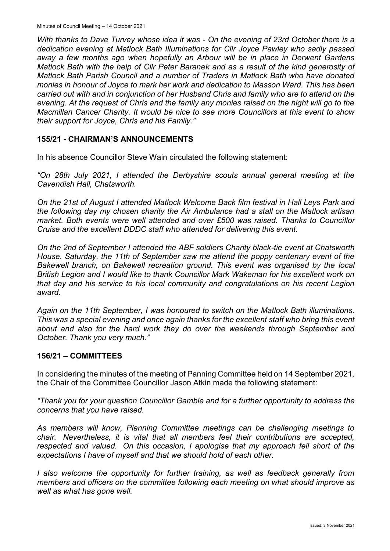*With thanks to Dave Turvey whose idea it was - On the evening of 23rd October there is a dedication evening at Matlock Bath Illuminations for Cllr Joyce Pawley who sadly passed away a few months ago when hopefully an Arbour will be in place in Derwent Gardens Matlock Bath with the help of Cllr Peter Baranek and as a result of the kind generosity of Matlock Bath Parish Council and a number of Traders in Matlock Bath who have donated monies in honour of Joyce to mark her work and dedication to Masson Ward. This has been carried out with and in conjunction of her Husband Chris and family who are to attend on the evening. At the request of Chris and the family any monies raised on the night will go to the Macmillan Cancer Charity. It would be nice to see more Councillors at this event to show their support for Joyce, Chris and his Family."*

### **155/21 - CHAIRMAN'S ANNOUNCEMENTS**

In his absence Councillor Steve Wain circulated the following statement:

*"On 28th July 2021, I attended the Derbyshire scouts annual general meeting at the Cavendish Hall, Chatsworth.* 

*On the 21st of August I attended Matlock Welcome Back film festival in Hall Leys Park and the following day my chosen charity the Air Ambulance had a stall on the Matlock artisan market. Both events were well attended and over £500 was raised. Thanks to Councillor Cruise and the excellent DDDC staff who attended for delivering this event.* 

*On the 2nd of September I attended the ABF soldiers Charity black-tie event at Chatsworth House. Saturday, the 11th of September saw me attend the poppy centenary event of the Bakewell branch, on Bakewell recreation ground. This event was organised by the local British Legion and I would like to thank Councillor Mark Wakeman for his excellent work on that day and his service to his local community and congratulations on his recent Legion award.* 

*Again on the 11th September, I was honoured to switch on the Matlock Bath illuminations. This was a special evening and once again thanks for the excellent staff who bring this event about and also for the hard work they do over the weekends through September and October. Thank you very much."*

#### **156/21 – COMMITTEES**

In considering the minutes of the meeting of Panning Committee held on 14 September 2021, the Chair of the Committee Councillor Jason Atkin made the following statement:

*"Thank you for your question Councillor Gamble and for a further opportunity to address the concerns that you have raised.* 

*As members will know, Planning Committee meetings can be challenging meetings to chair. Nevertheless, it is vital that all members feel their contributions are accepted, respected and valued. On this occasion, I apologise that my approach fell short of the expectations I have of myself and that we should hold of each other.*

*I also welcome the opportunity for further training, as well as feedback generally from members and officers on the committee following each meeting on what should improve as well as what has gone well.*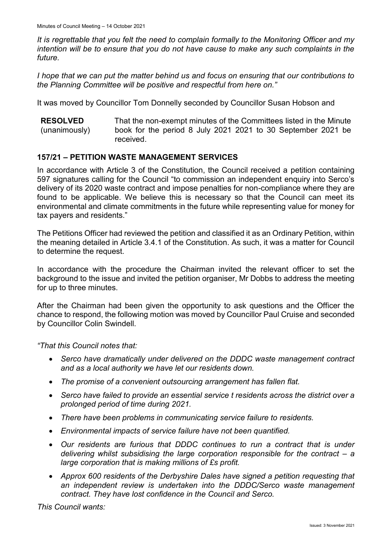*It is regrettable that you felt the need to complain formally to the Monitoring Officer and my intention will be to ensure that you do not have cause to make any such complaints in the future.* 

*I hope that we can put the matter behind us and focus on ensuring that our contributions to the Planning Committee will be positive and respectful from here on."*

It was moved by Councillor Tom Donnelly seconded by Councillor Susan Hobson and

| <b>RESOLVED</b> | That the non-exempt minutes of the Committees listed in the Minute |
|-----------------|--------------------------------------------------------------------|
| (unanimously)   | book for the period 8 July 2021 2021 to 30 September 2021 be       |
|                 | received.                                                          |

# **157/21 – PETITION WASTE MANAGEMENT SERVICES**

In accordance with Article 3 of the Constitution, the Council received a petition containing 597 signatures calling for the Council "to commission an independent enquiry into Serco's delivery of its 2020 waste contract and impose penalties for non-compliance where they are found to be applicable. We believe this is necessary so that the Council can meet its environmental and climate commitments in the future while representing value for money for tax payers and residents."

The Petitions Officer had reviewed the petition and classified it as an Ordinary Petition, within the meaning detailed in Article 3.4.1 of the Constitution. As such, it was a matter for Council to determine the request.

In accordance with the procedure the Chairman invited the relevant officer to set the background to the issue and invited the petition organiser, Mr Dobbs to address the meeting for up to three minutes.

After the Chairman had been given the opportunity to ask questions and the Officer the chance to respond, the following motion was moved by Councillor Paul Cruise and seconded by Councillor Colin Swindell.

*"That this Council notes that:*

- *Serco have dramatically under delivered on the DDDC waste management contract and as a local authority we have let our residents down.*
- *The promise of a convenient outsourcing arrangement has fallen flat.*
- *Serco have failed to provide an essential service t residents across the district over a prolonged period of time during 2021.*
- *There have been problems in communicating service failure to residents.*
- *Environmental impacts of service failure have not been quantified.*
- *Our residents are furious that DDDC continues to run a contract that is under delivering whilst subsidising the large corporation responsible for the contract – a large corporation that is making millions of £s profit.*
- *Approx 600 residents of the Derbyshire Dales have signed a petition requesting that an independent review is undertaken into the DDDC/Serco waste management contract. They have lost confidence in the Council and Serco.*

*This Council wants:*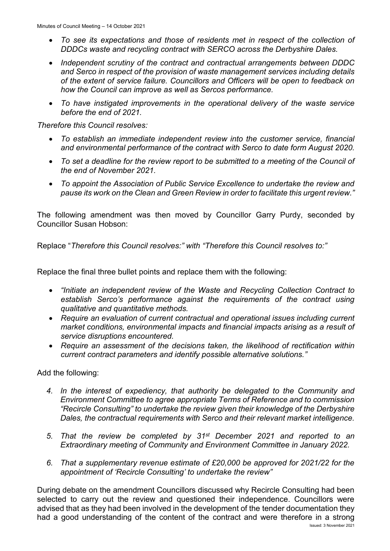- *To see its expectations and those of residents met in respect of the collection of DDDCs waste and recycling contract with SERCO across the Derbyshire Dales.*
- *Independent scrutiny of the contract and contractual arrangements between DDDC and Serco in respect of the provision of waste management services including details of the extent of service failure. Councillors and Officers will be open to feedback on how the Council can improve as well as Sercos performance.*
- *To have instigated improvements in the operational delivery of the waste service before the end of 2021.*

*Therefore this Council resolves:*

- *To establish an immediate independent review into the customer service, financial and environmental performance of the contract with Serco to date form August 2020.*
- *To set a deadline for the review report to be submitted to a meeting of the Council of the end of November 2021.*
- *To appoint the Association of Public Service Excellence to undertake the review and pause its work on the Clean and Green Review in order to facilitate this urgent review."*

The following amendment was then moved by Councillor Garry Purdy, seconded by Councillor Susan Hobson:

Replace "*Therefore this Council resolves:" with "Therefore this Council resolves to:"*

Replace the final three bullet points and replace them with the following:

- *"Initiate an independent review of the Waste and Recycling Collection Contract to establish Serco's performance against the requirements of the contract using qualitative and quantitative methods.*
- *Require an evaluation of current contractual and operational issues including current market conditions, environmental impacts and financial impacts arising as a result of service disruptions encountered.*
- *Require an assessment of the decisions taken, the likelihood of rectification within current contract parameters and identify possible alternative solutions."*

Add the following:

- *4. In the interest of expediency, that authority be delegated to the Community and Environment Committee to agree appropriate Terms of Reference and to commission "Recircle Consulting" to undertake the review given their knowledge of the Derbyshire Dales, the contractual requirements with Serco and their relevant market intelligence.*
- *5. That the review be completed by 31st December 2021 and reported to an Extraordinary meeting of Community and Environment Committee in January 2022.*
- *6. That a supplementary revenue estimate of £20,000 be approved for 2021/22 for the appointment of 'Recircle Consulting' to undertake the review"*

During debate on the amendment Councillors discussed why Recircle Consulting had been selected to carry out the review and questioned their independence. Councillors were advised that as they had been involved in the development of the tender documentation they had a good understanding of the content of the contract and were therefore in a strong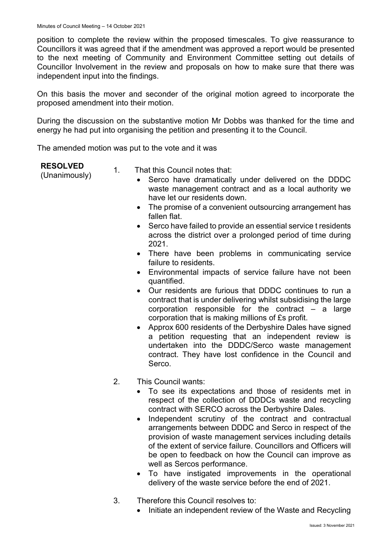position to complete the review within the proposed timescales. To give reassurance to Councillors it was agreed that if the amendment was approved a report would be presented to the next meeting of Community and Environment Committee setting out details of Councillor Involvement in the review and proposals on how to make sure that there was independent input into the findings.

On this basis the mover and seconder of the original motion agreed to incorporate the proposed amendment into their motion.

During the discussion on the substantive motion Mr Dobbs was thanked for the time and energy he had put into organising the petition and presenting it to the Council.

The amended motion was put to the vote and it was

### **RESOLVED**

- **RESOLVED**<br>(Unanimously) 1. That this Council notes that:<br>Serco have dramatically
	- Serco have dramatically under delivered on the DDDC waste management contract and as a local authority we have let our residents down.
	- The promise of a convenient outsourcing arrangement has fallen flat.
	- Serco have failed to provide an essential service t residents across the district over a prolonged period of time during 2021.
	- There have been problems in communicating service failure to residents.
	- Environmental impacts of service failure have not been quantified.
	- Our residents are furious that DDDC continues to run a contract that is under delivering whilst subsidising the large corporation responsible for the contract – a large corporation that is making millions of £s profit.
	- Approx 600 residents of the Derbyshire Dales have signed a petition requesting that an independent review is undertaken into the DDDC/Serco waste management contract. They have lost confidence in the Council and Serco.
	- 2. This Council wants:
		- To see its expectations and those of residents met in respect of the collection of DDDCs waste and recycling contract with SERCO across the Derbyshire Dales.
		- Independent scrutiny of the contract and contractual arrangements between DDDC and Serco in respect of the provision of waste management services including details of the extent of service failure. Councillors and Officers will be open to feedback on how the Council can improve as well as Sercos performance.
		- To have instigated improvements in the operational delivery of the waste service before the end of 2021.
	- 3. Therefore this Council resolves to:
		- Initiate an independent review of the Waste and Recycling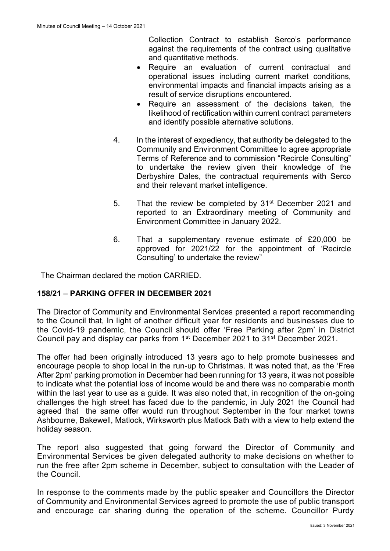Collection Contract to establish Serco's performance against the requirements of the contract using qualitative and quantitative methods.

- Require an evaluation of current contractual and operational issues including current market conditions, environmental impacts and financial impacts arising as a result of service disruptions encountered.
- Require an assessment of the decisions taken, the likelihood of rectification within current contract parameters and identify possible alternative solutions.
- 4. In the interest of expediency, that authority be delegated to the Community and Environment Committee to agree appropriate Terms of Reference and to commission "Recircle Consulting" to undertake the review given their knowledge of the Derbyshire Dales, the contractual requirements with Serco and their relevant market intelligence.
- 5. That the review be completed by 31<sup>st</sup> December 2021 and reported to an Extraordinary meeting of Community and Environment Committee in January 2022.
- 6. That a supplementary revenue estimate of £20,000 be approved for 2021/22 for the appointment of 'Recircle Consulting' to undertake the review"

The Chairman declared the motion CARRIED.

# **158/21** – **PARKING OFFER IN DECEMBER 2021**

The Director of Community and Environmental Services presented a report recommending to the Council that, In light of another difficult year for residents and businesses due to the Covid-19 pandemic, the Council should offer 'Free Parking after 2pm' in District Council pay and display car parks from 1st December 2021 to 31st December 2021.

The offer had been originally introduced 13 years ago to help promote businesses and encourage people to shop local in the run-up to Christmas. It was noted that, as the 'Free After 2pm' parking promotion in December had been running for 13 years, it was not possible to indicate what the potential loss of income would be and there was no comparable month within the last year to use as a guide. It was also noted that, in recognition of the on-going challenges the high street has faced due to the pandemic, in July 2021 the Council had agreed that the same offer would run throughout September in the four market towns Ashbourne, Bakewell, Matlock, Wirksworth plus Matlock Bath with a view to help extend the holiday season.

The report also suggested that going forward the Director of Community and Environmental Services be given delegated authority to make decisions on whether to run the free after 2pm scheme in December, subject to consultation with the Leader of the Council.

In response to the comments made by the public speaker and Councillors the Director of Community and Environmental Services agreed to promote the use of public transport and encourage car sharing during the operation of the scheme. Councillor Purdy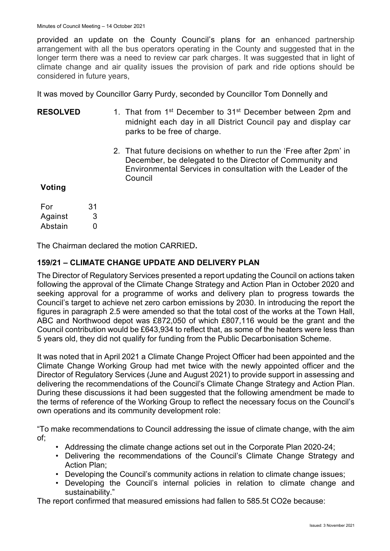provided an update on the County Council's plans for an enhanced partnership arrangement with all the bus operators operating in the County and suggested that in the longer term there was a need to review car park charges. It was suggested that in light of climate change and air quality issues the provision of park and ride options should be considered in future years,

It was moved by Councillor Garry Purdy, seconded by Councillor Tom Donnelly and

| <b>RESOLVED</b> | 1. That from 1 <sup>st</sup> December to 31 <sup>st</sup> December between 2pm and<br>midnight each day in all District Council pay and display car<br>parks to be free of charge. |
|-----------------|------------------------------------------------------------------------------------------------------------------------------------------------------------------------------------|
|                 | 0. TII (1. III) III III III III II OO III                                                                                                                                          |

2. That future decisions on whether to run the 'Free after 2pm' in December, be delegated to the Director of Community and Environmental Services in consultation with the Leader of the Council

# **Voting**

| For     | 31 |
|---------|----|
| Against | 3  |
| Abstain | O  |

The Chairman declared the motion CARRIED**.**

# **159/21 – CLIMATE CHANGE UPDATE AND DELIVERY PLAN**

The Director of Regulatory Services presented a report updating the Council on actions taken following the approval of the Climate Change Strategy and Action Plan in October 2020 and seeking approval for a programme of works and delivery plan to progress towards the Council's target to achieve net zero carbon emissions by 2030. In introducing the report the figures in paragraph 2.5 were amended so that the total cost of the works at the Town Hall, ABC and Northwood depot was £872,050 of which £807,116 would be the grant and the Council contribution would be £643,934 to reflect that, as some of the heaters were less than 5 years old, they did not qualify for funding from the Public Decarbonisation Scheme.

It was noted that in April 2021 a Climate Change Project Officer had been appointed and the Climate Change Working Group had met twice with the newly appointed officer and the Director of Regulatory Services (June and August 2021) to provide support in assessing and delivering the recommendations of the Council's Climate Change Strategy and Action Plan. During these discussions it had been suggested that the following amendment be made to the terms of reference of the Working Group to reflect the necessary focus on the Council's own operations and its community development role:

"To make recommendations to Council addressing the issue of climate change, with the aim of;

- Addressing the climate change actions set out in the Corporate Plan 2020-24;
- Delivering the recommendations of the Council's Climate Change Strategy and Action Plan;
- Developing the Council's community actions in relation to climate change issues;
- Developing the Council's internal policies in relation to climate change and sustainability."

The report confirmed that measured emissions had fallen to 585.5t CO2e because: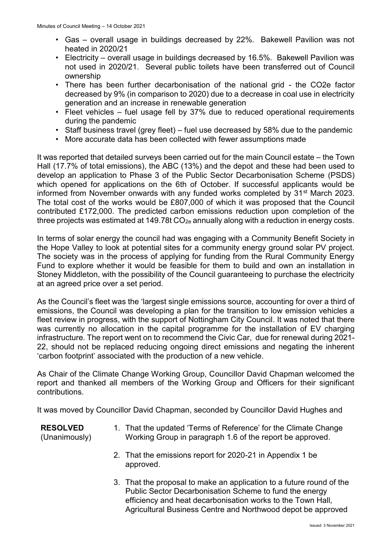- Gas overall usage in buildings decreased by 22%. Bakewell Pavilion was not heated in 2020/21
- Electricity overall usage in buildings decreased by 16.5%. Bakewell Pavilion was not used in 2020/21. Several public toilets have been transferred out of Council ownership
- There has been further decarbonisation of the national grid the CO2e factor decreased by 9% (in comparison to 2020) due to a decrease in coal use in electricity generation and an increase in renewable generation
- Fleet vehicles fuel usage fell by 37% due to reduced operational requirements during the pandemic
- Staff business travel (grey fleet) fuel use decreased by 58% due to the pandemic
- More accurate data has been collected with fewer assumptions made

It was reported that detailed surveys been carried out for the main Council estate – the Town Hall (17.7% of total emissions), the ABC (13%) and the depot and these had been used to develop an application to Phase 3 of the Public Sector Decarbonisation Scheme (PSDS) which opened for applications on the 6th of October. If successful applicants would be informed from November onwards with any funded works completed by 31<sup>st</sup> March 2023. The total cost of the works would be £807,000 of which it was proposed that the Council contributed £172,000. The predicted carbon emissions reduction upon completion of the three projects was estimated at 149.78t  $CO_{2e}$  annually along with a reduction in energy costs.

In terms of solar energy the council had was engaging with a Community Benefit Society in the Hope Valley to look at potential sites for a community energy ground solar PV project. The society was in the process of applying for funding from the Rural Community Energy Fund to explore whether it would be feasible for them to build and own an installation in Stoney Middleton, with the possibility of the Council guaranteeing to purchase the electricity at an agreed price over a set period.

As the Council's fleet was the 'largest single emissions source, accounting for over a third of emissions, the Council was developing a plan for the transition to low emission vehicles a fleet review in progress, with the support of Nottingham City Council. It was noted that there was currently no allocation in the capital programme for the installation of EV charging infrastructure. The report went on to recommend the Civic Car, due for renewal during 2021- 22, should not be replaced reducing ongoing direct emissions and negating the inherent 'carbon footprint' associated with the production of a new vehicle.

As Chair of the Climate Change Working Group, Councillor David Chapman welcomed the report and thanked all members of the Working Group and Officers for their significant contributions.

It was moved by Councillor David Chapman, seconded by Councillor David Hughes and

# **RESOLVED**

(Unanimously)

- 1. That the updated 'Terms of Reference' for the Climate Change Working Group in paragraph 1.6 of the report be approved.
- 2. That the emissions report for 2020-21 in Appendix 1 be approved.
- 3. That the proposal to make an application to a future round of the Public Sector Decarbonisation Scheme to fund the energy efficiency and heat decarbonisation works to the Town Hall, Agricultural Business Centre and Northwood depot be approved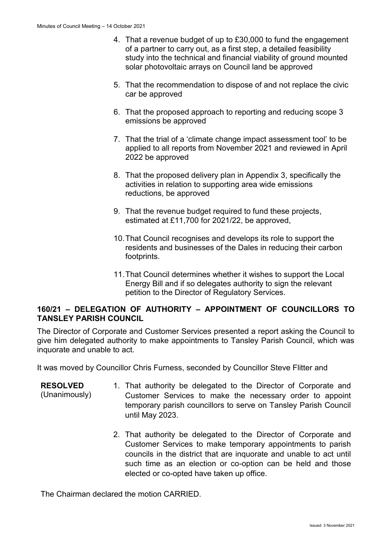- 4. That a revenue budget of up to £30,000 to fund the engagement of a partner to carry out, as a first step, a detailed feasibility study into the technical and financial viability of ground mounted solar photovoltaic arrays on Council land be approved
- 5. That the recommendation to dispose of and not replace the civic car be approved
- 6. That the proposed approach to reporting and reducing scope 3 emissions be approved
- 7. That the trial of a 'climate change impact assessment tool' to be applied to all reports from November 2021 and reviewed in April 2022 be approved
- 8. That the proposed delivery plan in Appendix 3, specifically the activities in relation to supporting area wide emissions reductions, be approved
- 9. That the revenue budget required to fund these projects, estimated at £11,700 for 2021/22, be approved,
- 10.That Council recognises and develops its role to support the residents and businesses of the Dales in reducing their carbon footprints.
- 11.That Council determines whether it wishes to support the Local Energy Bill and if so delegates authority to sign the relevant petition to the Director of Regulatory Services.

# **160/21 – DELEGATION OF AUTHORITY – APPOINTMENT OF COUNCILLORS TO TANSLEY PARISH COUNCIL**

The Director of Corporate and Customer Services presented a report asking the Council to give him delegated authority to make appointments to Tansley Parish Council, which was inquorate and unable to act.

It was moved by Councillor Chris Furness, seconded by Councillor Steve Flitter and

- **RESOLVED** (Unanimously) 1. That authority be delegated to the Director of Corporate and Customer Services to make the necessary order to appoint temporary parish councillors to serve on Tansley Parish Council until May 2023.
	- 2. That authority be delegated to the Director of Corporate and Customer Services to make temporary appointments to parish councils in the district that are inquorate and unable to act until such time as an election or co-option can be held and those elected or co-opted have taken up office.

The Chairman declared the motion CARRIED.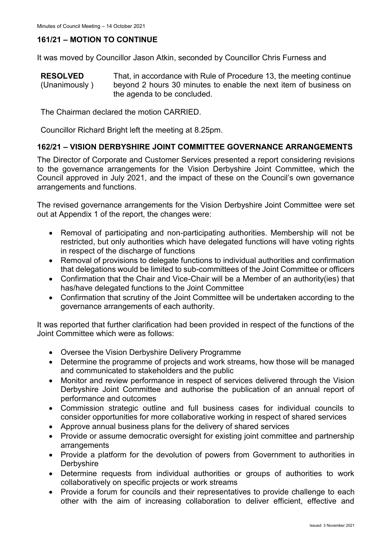# **161/21 – MOTION TO CONTINUE**

It was moved by Councillor Jason Atkin, seconded by Councillor Chris Furness and

**RESOLVED** (Unanimously ) That, in accordance with Rule of Procedure 13, the meeting continue beyond 2 hours 30 minutes to enable the next item of business on the agenda to be concluded.

The Chairman declared the motion CARRIED.

Councillor Richard Bright left the meeting at 8.25pm.

### **162/21 – VISION DERBYSHIRE JOINT COMMITTEE GOVERNANCE ARRANGEMENTS**

The Director of Corporate and Customer Services presented a report considering revisions to the governance arrangements for the Vision Derbyshire Joint Committee, which the Council approved in July 2021, and the impact of these on the Council's own governance arrangements and functions.

The revised governance arrangements for the Vision Derbyshire Joint Committee were set out at Appendix 1 of the report, the changes were:

- Removal of participating and non-participating authorities. Membership will not be restricted, but only authorities which have delegated functions will have voting rights in respect of the discharge of functions
- Removal of provisions to delegate functions to individual authorities and confirmation that delegations would be limited to sub-committees of the Joint Committee or officers
- Confirmation that the Chair and Vice-Chair will be a Member of an authority(ies) that has/have delegated functions to the Joint Committee
- Confirmation that scrutiny of the Joint Committee will be undertaken according to the governance arrangements of each authority.

It was reported that further clarification had been provided in respect of the functions of the Joint Committee which were as follows:

- Oversee the Vision Derbyshire Delivery Programme
- Determine the programme of projects and work streams, how those will be managed and communicated to stakeholders and the public
- Monitor and review performance in respect of services delivered through the Vision Derbyshire Joint Committee and authorise the publication of an annual report of performance and outcomes
- Commission strategic outline and full business cases for individual councils to consider opportunities for more collaborative working in respect of shared services
- Approve annual business plans for the delivery of shared services
- Provide or assume democratic oversight for existing joint committee and partnership arrangements
- Provide a platform for the devolution of powers from Government to authorities in **Derbyshire**
- Determine requests from individual authorities or groups of authorities to work collaboratively on specific projects or work streams
- Provide a forum for councils and their representatives to provide challenge to each other with the aim of increasing collaboration to deliver efficient, effective and